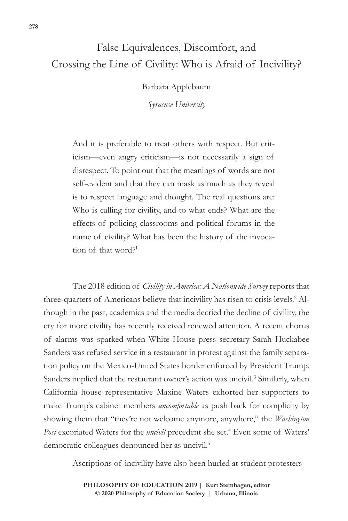# False Equivalences, Discomfort, and Crossing the Line of Civility: Who is Afraid of Incivility?

Barbara Applebaum

*Syracuse University*

And it is preferable to treat others with respect. But criticism—even angry criticism—is not necessarily a sign of disrespect. To point out that the meanings of words are not self-evident and that they can mask as much as they reveal is to respect language and thought. The real questions are: Who is calling for civility, and to what ends? What are the effects of policing classrooms and political forums in the name of civility? What has been the history of the invocation of that word? $1$ 

The 2018 edition of *Civility in America: A Nationwide Survey* reports that three-quarters of Americans believe that incivility has risen to crisis levels.<sup>2</sup> Although in the past, academics and the media decried the decline of civility, the cry for more civility has recently received renewed attention. A recent chorus of alarms was sparked when White House press secretary Sarah Huckabee Sanders was refused service in a restaurant in protest against the family separation policy on the Mexico-United States border enforced by President Trump. Sanders implied that the restaurant owner's action was uncivil.<sup>3</sup> Similarly, when California house representative Maxine Waters exhorted her supporters to make Trump's cabinet members *uncomfortable* as push back for complicity by showing them that "they're not welcome anymore, anywhere," the *Washington*  Post excoriated Waters for the *uncivil* precedent she set.<sup>4</sup> Even some of Waters' democratic colleagues denounced her as uncivil.<sup>5</sup>

Ascriptions of incivility have also been hurled at student protesters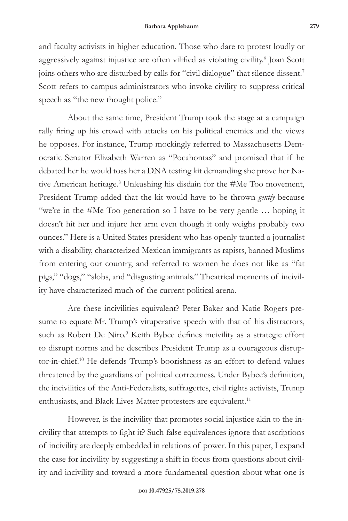and faculty activists in higher education. Those who dare to protest loudly or aggressively against injustice are often vilified as violating civility.<sup>6</sup> Joan Scott joins others who are disturbed by calls for "civil dialogue" that silence dissent.<sup>7</sup> Scott refers to campus administrators who invoke civility to suppress critical speech as "the new thought police."

About the same time, President Trump took the stage at a campaign rally firing up his crowd with attacks on his political enemies and the views he opposes. For instance, Trump mockingly referred to Massachusetts Democratic Senator Elizabeth Warren as "Pocahontas" and promised that if he debated her he would toss her a DNA testing kit demanding she prove her Native American heritage.<sup>8</sup> Unleashing his disdain for the #Me Too movement, President Trump added that the kit would have to be thrown *gently* because "we're in the #Me Too generation so I have to be very gentle … hoping it doesn't hit her and injure her arm even though it only weighs probably two ounces." Here is a United States president who has openly taunted a journalist with a disability, characterized Mexican immigrants as rapists, banned Muslims from entering our country, and referred to women he does not like as "fat pigs," "dogs," "slobs, and "disgusting animals." Theatrical moments of incivility have characterized much of the current political arena.

Are these incivilities equivalent? Peter Baker and Katie Rogers presume to equate Mr. Trump's vituperative speech with that of his distractors, such as Robert De Niro.<sup>9</sup> Keith Bybee defines incivility as a strategic effort to disrupt norms and he describes President Trump as a courageous disruptor-in-chief.10 He defends Trump's boorishness as an effort to defend values threatened by the guardians of political correctness. Under Bybee's definition, the incivilities of the Anti-Federalists, suffragettes, civil rights activists, Trump enthusiasts, and Black Lives Matter protesters are equivalent.<sup>11</sup>

However, is the incivility that promotes social injustice akin to the incivility that attempts to fight it? Such false equivalences ignore that ascriptions of incivility are deeply embedded in relations of power. In this paper, I expand the case for incivility by suggesting a shift in focus from questions about civility and incivility and toward a more fundamental question about what one is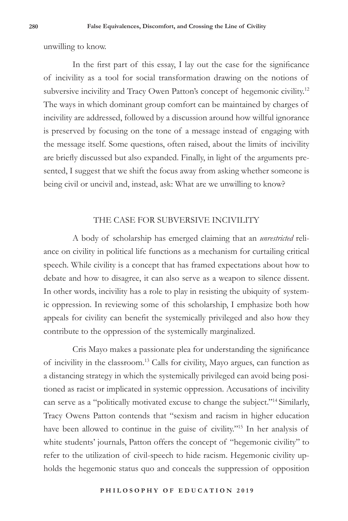unwilling to know.

In the first part of this essay, I lay out the case for the significance of incivility as a tool for social transformation drawing on the notions of subversive incivility and Tracy Owen Patton's concept of hegemonic civility.<sup>12</sup> The ways in which dominant group comfort can be maintained by charges of incivility are addressed, followed by a discussion around how willful ignorance is preserved by focusing on the tone of a message instead of engaging with the message itself. Some questions, often raised, about the limits of incivility are briefly discussed but also expanded. Finally, in light of the arguments presented, I suggest that we shift the focus away from asking whether someone is being civil or uncivil and, instead, ask: What are we unwilling to know?

#### THE CASE FOR SUBVERSIVE INCIVILITY

A body of scholarship has emerged claiming that an *unrestricted* reliance on civility in political life functions as a mechanism for curtailing critical speech. While civility is a concept that has framed expectations about how to debate and how to disagree, it can also serve as a weapon to silence dissent. In other words, incivility has a role to play in resisting the ubiquity of systemic oppression. In reviewing some of this scholarship, I emphasize both how appeals for civility can benefit the systemically privileged and also how they contribute to the oppression of the systemically marginalized.

Cris Mayo makes a passionate plea for understanding the significance of incivility in the classroom.13 Calls for civility, Mayo argues, can function as a distancing strategy in which the systemically privileged can avoid being positioned as racist or implicated in systemic oppression. Accusations of incivility can serve as a "politically motivated excuse to change the subject."14 Similarly, Tracy Owens Patton contends that "sexism and racism in higher education have been allowed to continue in the guise of civility."15 In her analysis of white students' journals, Patton offers the concept of "hegemonic civility" to refer to the utilization of civil-speech to hide racism. Hegemonic civility upholds the hegemonic status quo and conceals the suppression of opposition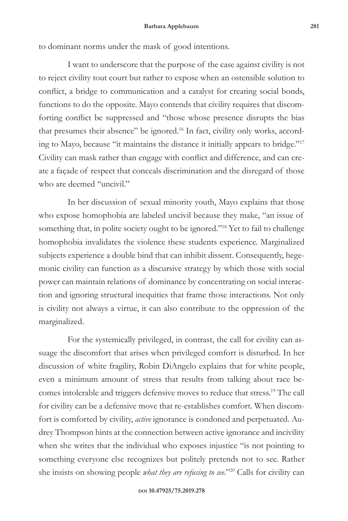to dominant norms under the mask of good intentions.

I want to underscore that the purpose of the case against civility is not to reject civility tout court but rather to expose when an ostensible solution to conflict, a bridge to communication and a catalyst for creating social bonds, functions to do the opposite. Mayo contends that civility requires that discomforting conflict be suppressed and "those whose presence disrupts the bias that presumes their absence" be ignored.<sup>16</sup> In fact, civility only works, according to Mayo, because "it maintains the distance it initially appears to bridge."17 Civility can mask rather than engage with conflict and difference, and can create a façade of respect that conceals discrimination and the disregard of those who are deemed "uncivil."

In her discussion of sexual minority youth, Mayo explains that those who expose homophobia are labeled uncivil because they make, "an issue of something that, in polite society ought to be ignored."18 Yet to fail to challenge homophobia invalidates the violence these students experience. Marginalized subjects experience a double bind that can inhibit dissent. Consequently, hegemonic civility can function as a discursive strategy by which those with social power can maintain relations of dominance by concentrating on social interaction and ignoring structural inequities that frame those interactions. Not only is civility not always a virtue, it can also contribute to the oppression of the marginalized.

For the systemically privileged, in contrast, the call for civility can assuage the discomfort that arises when privileged comfort is disturbed. In her discussion of white fragility, Robin DiAngelo explains that for white people, even a minimum amount of stress that results from talking about race becomes intolerable and triggers defensive moves to reduce that stress.19 The call for civility can be a defensive move that re-establishes comfort. When discomfort is comforted by civility, *active* ignorance is condoned and perpetuated. Audrey Thompson hints at the connection between active ignorance and incivility when she writes that the individual who exposes injustice "is not pointing to something everyone else recognizes but politely pretends not to see. Rather she insists on showing people *what they are refusing to see*."20 Calls for civility can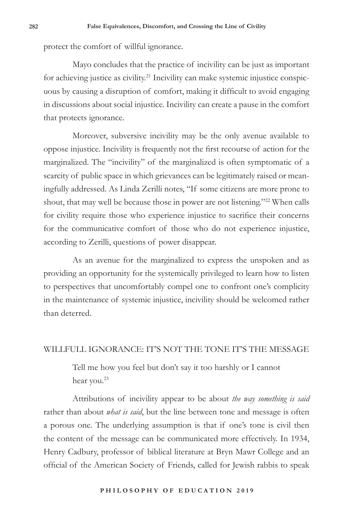protect the comfort of willful ignorance.

Mayo concludes that the practice of incivility can be just as important for achieving justice as civility.<sup>21</sup> Incivility can make systemic injustice conspicuous by causing a disruption of comfort, making it difficult to avoid engaging in discussions about social injustice. Incivility can create a pause in the comfort that protects ignorance.

Moreover, subversive incivility may be the only avenue available to oppose injustice. Incivility is frequently not the first recourse of action for the marginalized. The "incivility" of the marginalized is often symptomatic of a scarcity of public space in which grievances can be legitimately raised or meaningfully addressed. As Linda Zerilli notes, "If some citizens are more prone to shout, that may well be because those in power are not listening."<sup>22</sup> When calls for civility require those who experience injustice to sacrifice their concerns for the communicative comfort of those who do not experience injustice, according to Zerilli, questions of power disappear.

As an avenue for the marginalized to express the unspoken and as providing an opportunity for the systemically privileged to learn how to listen to perspectives that uncomfortably compel one to confront one's complicity in the maintenance of systemic injustice, incivility should be welcomed rather than deterred.

#### WILLFULL IGNORANCE: IT'S NOT THE TONE IT'S THE MESSAGE

Tell me how you feel but don't say it too harshly or I cannot hear you.<sup>23</sup>

Attributions of incivility appear to be about *the way something is said* rather than about *what is said*, but the line between tone and message is often a porous one. The underlying assumption is that if one's tone is civil then the content of the message can be communicated more effectively. In 1934, Henry Cadbury, professor of biblical literature at Bryn Mawr College and an official of the American Society of Friends, called for Jewish rabbis to speak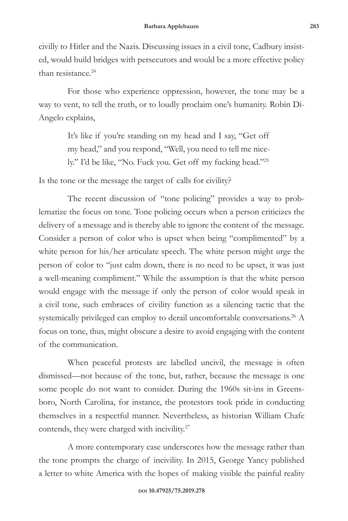civilly to Hitler and the Nazis. Discussing issues in a civil tone, Cadbury insisted, would build bridges with persecutors and would be a more effective policy than resistance.<sup>24</sup>

For those who experience oppression, however, the tone may be a way to vent, to tell the truth, or to loudly proclaim one's humanity. Robin Di-Angelo explains,

> It's like if you're standing on my head and I say, "Get off my head," and you respond, "Well, you need to tell me nicely." I'd be like, "No. Fuck you. Get off my fucking head."25

Is the tone or the message the target of calls for civility?

The recent discussion of "tone policing" provides a way to problematize the focus on tone. Tone policing occurs when a person criticizes the delivery of a message and is thereby able to ignore the content of the message. Consider a person of color who is upset when being "complimented" by a white person for his/her articulate speech. The white person might urge the person of color to "just calm down, there is no need to be upset, it was just a well-meaning compliment." While the assumption is that the white person would engage with the message if only the person of color would speak in a civil tone, such embraces of civility function as a silencing tactic that the systemically privileged can employ to derail uncomfortable conversations.<sup>26</sup> A focus on tone, thus, might obscure a desire to avoid engaging with the content of the communication.

When peaceful protests are labelled uncivil, the message is often dismissed—not because of the tone, but, rather, because the message is one some people do not want to consider. During the 1960s sit-ins in Greensboro, North Carolina, for instance, the protestors took pride in conducting themselves in a respectful manner. Nevertheless, as historian William Chafe contends, they were charged with incivility.27

A more contemporary case underscores how the message rather than the tone prompts the charge of incivility. In 2015, George Yancy published a letter to white America with the hopes of making visible the painful reality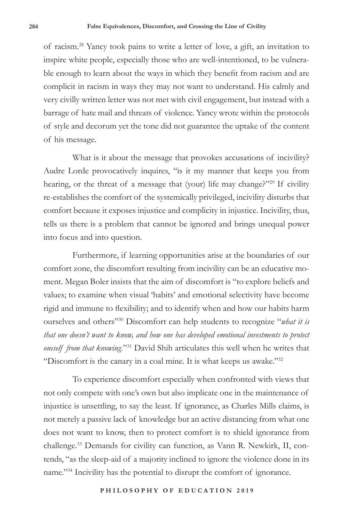of racism.28 Yancy took pains to write a letter of love, a gift, an invitation to inspire white people, especially those who are well-intentioned, to be vulnerable enough to learn about the ways in which they benefit from racism and are complicit in racism in ways they may not want to understand. His calmly and very civilly written letter was not met with civil engagement, but instead with a barrage of hate mail and threats of violence. Yancy wrote within the protocols of style and decorum yet the tone did not guarantee the uptake of the content of his message.

What is it about the message that provokes accusations of incivility? Audre Lorde provocatively inquires, "is it my manner that keeps you from hearing, or the threat of a message that (your) life may change?"<sup>29</sup> If civility re-establishes the comfort of the systemically privileged, incivility disturbs that comfort because it exposes injustice and complicity in injustice. Incivility, thus, tells us there is a problem that cannot be ignored and brings unequal power into focus and into question.

Furthermore, if learning opportunities arise at the boundaries of our comfort zone, the discomfort resulting from incivility can be an educative moment. Megan Boler insists that the aim of discomfort is "to explore beliefs and values; to examine when visual 'habits' and emotional selectivity have become rigid and immune to flexibility; and to identify when and how our habits harm ourselves and others"30 Discomfort can help students to recognize "*what it is that one doesn't want to know, and how one has developed emotional investments to protect oneself from that knowing.*"31 David Shih articulates this well when he writes that "Discomfort is the canary in a coal mine. It is what keeps us awake."<sup>32</sup>

To experience discomfort especially when confronted with views that not only compete with one's own but also implicate one in the maintenance of injustice is unsettling, to say the least. If ignorance, as Charles Mills claims, is not merely a passive lack of knowledge but an active distancing from what one does not want to know, then to protect comfort is to shield ignorance from challenge.33 Demands for civility can function, as Vann R. Newkirk, II, contends, "as the sleep-aid of a majority inclined to ignore the violence done in its name."34 Incivility has the potential to disrupt the comfort of ignorance.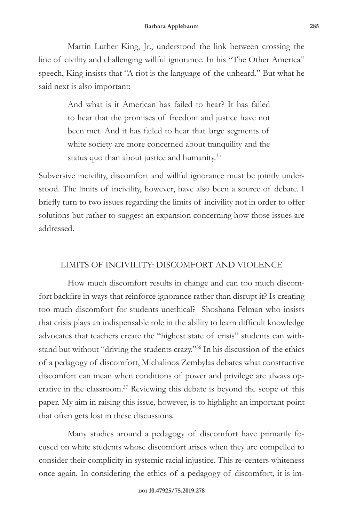Martin Luther King, Jr., understood the link between crossing the line of civility and challenging willful ignorance. In his "The Other America" speech, King insists that "A riot is the language of the unheard." But what he said next is also important:

> And what is it American has failed to hear? It has failed to hear that the promises of freedom and justice have not been met. And it has failed to hear that large segments of white society are more concerned about tranquility and the status quo than about justice and humanity.<sup>35</sup>

Subversive incivility, discomfort and willful ignorance must be jointly understood. The limits of incivility, however, have also been a source of debate. I briefly turn to two issues regarding the limits of incivility not in order to offer solutions but rather to suggest an expansion concerning how those issues are addressed.

### LIMITS OF INCIVILITY: DISCOMFORT AND VIOLENCE

How much discomfort results in change and can too much discomfort backfire in ways that reinforce ignorance rather than disrupt it? Is creating too much discomfort for students unethical? Shoshana Felman who insists that crisis plays an indispensable role in the ability to learn difficult knowledge advocates that teachers create the "highest state of crisis" students can withstand but without "driving the students crazy."36 In his discussion of the ethics of a pedagogy of discomfort, Michalinos Zembylas debates what constructive discomfort can mean when conditions of power and privilege are always operative in the classroom.<sup>37</sup> Reviewing this debate is beyond the scope of this paper. My aim in raising this issue, however, is to highlight an important point that often gets lost in these discussions.

Many studies around a pedagogy of discomfort have primarily focused on white students whose discomfort arises when they are compelled to consider their complicity in systemic racial injustice. This re-centers whiteness once again. In considering the ethics of a pedagogy of discomfort, it is im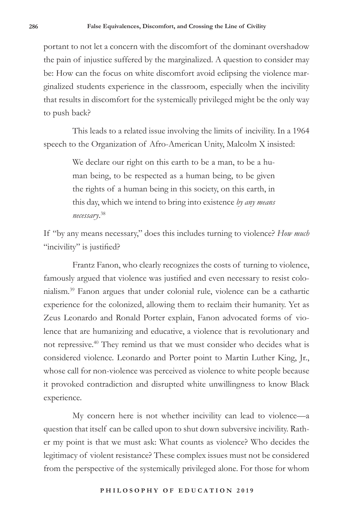portant to not let a concern with the discomfort of the dominant overshadow the pain of injustice suffered by the marginalized. A question to consider may be: How can the focus on white discomfort avoid eclipsing the violence marginalized students experience in the classroom, especially when the incivility that results in discomfort for the systemically privileged might be the only way to push back?

This leads to a related issue involving the limits of incivility. In a 1964 speech to the Organization of Afro-American Unity, Malcolm X insisted:

> We declare our right on this earth to be a man, to be a human being, to be respected as a human being, to be given the rights of a human being in this society, on this earth, in this day, which we intend to bring into existence *by any means necessary*. 38

If "by any means necessary," does this includes turning to violence? *How much* "incivility" is justified?

Frantz Fanon, who clearly recognizes the costs of turning to violence, famously argued that violence was justified and even necessary to resist colonialism.39 Fanon argues that under colonial rule, violence can be a cathartic experience for the colonized, allowing them to reclaim their humanity. Yet as Zeus Leonardo and Ronald Porter explain, Fanon advocated forms of violence that are humanizing and educative, a violence that is revolutionary and not repressive.40 They remind us that we must consider who decides what is considered violence. Leonardo and Porter point to Martin Luther King, Jr., whose call for non-violence was perceived as violence to white people because it provoked contradiction and disrupted white unwillingness to know Black experience.

My concern here is not whether incivility can lead to violence—a question that itself can be called upon to shut down subversive incivility. Rather my point is that we must ask: What counts as violence? Who decides the legitimacy of violent resistance? These complex issues must not be considered from the perspective of the systemically privileged alone. For those for whom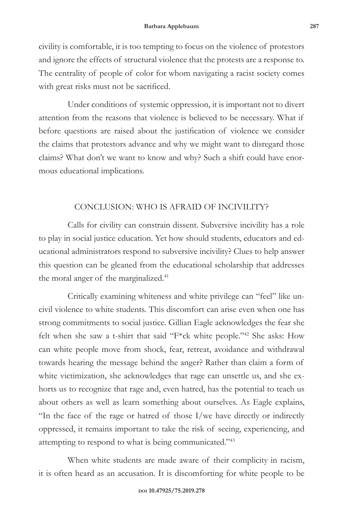civility is comfortable, it is too tempting to focus on the violence of protestors and ignore the effects of structural violence that the protests are a response to. The centrality of people of color for whom navigating a racist society comes with great risks must not be sacrificed.

Under conditions of systemic oppression, it is important not to divert attention from the reasons that violence is believed to be necessary. What if before questions are raised about the justification of violence we consider the claims that protestors advance and why we might want to disregard those claims? What don't we want to know and why? Such a shift could have enormous educational implications.

## CONCLUSION: WHO IS AFRAID OF INCIVILITY?

Calls for civility can constrain dissent. Subversive incivility has a role to play in social justice education. Yet how should students, educators and educational administrators respond to subversive incivility? Clues to help answer this question can be gleaned from the educational scholarship that addresses the moral anger of the marginalized.<sup>41</sup>

Critically examining whiteness and white privilege can "feel" like uncivil violence to white students. This discomfort can arise even when one has strong commitments to social justice. Gillian Eagle acknowledges the fear she felt when she saw a t-shirt that said "F\*ck white people."42 She asks: How can white people move from shock, fear, retreat, avoidance and withdrawal towards hearing the message behind the anger? Rather than claim a form of white victimization, she acknowledges that rage can unsettle us, and she exhorts us to recognize that rage and, even hatred, has the potential to teach us about others as well as learn something about ourselves. As Eagle explains, "In the face of the rage or hatred of those I/we have directly or indirectly oppressed, it remains important to take the risk of seeing, experiencing, and attempting to respond to what is being communicated."43

When white students are made aware of their complicity in racism, it is often heard as an accusation. It is discomforting for white people to be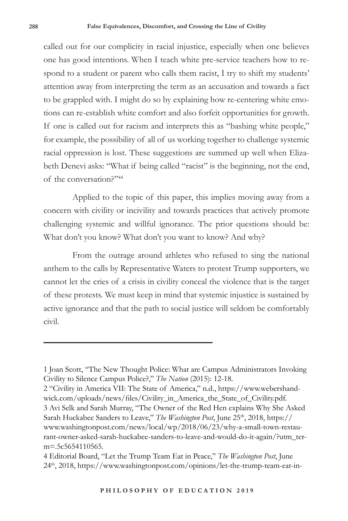called out for our complicity in racial injustice, especially when one believes one has good intentions. When I teach white pre-service teachers how to respond to a student or parent who calls them racist, I try to shift my students' attention away from interpreting the term as an accusation and towards a fact to be grappled with. I might do so by explaining how re-centering white emotions can re-establish white comfort and also forfeit opportunities for growth. If one is called out for racism and interprets this as "bashing white people," for example, the possibility of all of us working together to challenge systemic racial oppression is lost. These suggestions are summed up well when Elizabeth Denevi asks: "What if being called "racist" is the beginning, not the end, of the conversation?"44

Applied to the topic of this paper, this implies moving away from a concern with civility or incivility and towards practices that actively promote challenging systemic and willful ignorance. The prior questions should be: What don't you know? What don't you want to know? And why?

From the outrage around athletes who refused to sing the national anthem to the calls by Representative Waters to protest Trump supporters, we cannot let the cries of a crisis in civility conceal the violence that is the target of these protests. We must keep in mind that systemic injustice is sustained by active ignorance and that the path to social justice will seldom be comfortably civil.

<sup>1</sup> Joan Scott, "The New Thought Police: What are Campus Administrators Invoking Civility to Silence Campus Police?," *The Nation* (2015): 12-18.

<sup>2 &</sup>quot;Civility in America VII: The State of America," n.d., https://www.webershandwick.com/uploads/news/files/Civility\_in\_America\_the\_State\_of\_Civility.pdf.

<sup>3</sup> Avi Selk and Sarah Murray, "The Owner of the Red Hen explains Why She Asked Sarah Huckabee Sanders to Leave," *The Washington Post*, June 25<sup>th</sup>, 2018, https:// www.washingtonpost.com/news/local/wp/2018/06/23/why-a-small-town-restaurant-owner-asked-sarah-huckabee-sanders-to-leave-and-would-do-it-again/?utm\_term=.5c5654110565.

<sup>4</sup> Editorial Board, "Let the Trump Team Eat in Peace," *The Washington Post*, June 24th, 2018, https://www.washingtonpost.com/opinions/let-the-trump-team-eat-in-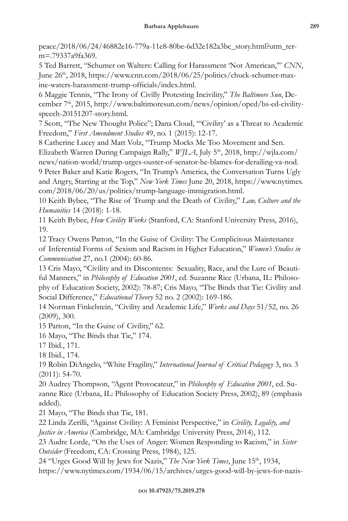peace/2018/06/24/46882e16-779a-11e8-80be-6d32e182a3bc\_story.html?utm\_term=.79337a9fa369.

5 Ted Barrett, "Schumer on Walters: Calling for Harassment 'Not American,'" *CNN*, June 26<sup>th</sup>, 2018, https://www.cnn.com/2018/06/25/politics/chuck-schumer-maxine-waters-harassment-trump-officials/index.html.

6 Maggie Tennis, "The Irony of Civilly Protesting Incivility," *The Baltimore Sun*, December 7<sup>th</sup>, 2015, http://www.baltimoresun.com/news/opinion/oped/bs-ed-civilityspeech-20151207-story.html.

7 Scott, "The New Thought Police"; Dana Cloud, "'Civility' as a Threat to Academic Freedom," *First Amendment Studies* 49, no. 1 (2015): 12-17.

8 Catherine Lucey and Matt Volz, "Trump Mocks Me Too Movement and Sen.

Elizabeth Warren During Campaign Rally," WJLA, July 5<sup>th</sup>, 2018, http://wjla.com/ news/nation-world/trump-urges-ouster-of-senator-he-blames-for-derailing-va-nod.

9 Peter Baker and Katie Rogers, "In Trump's America, the Conversation Turns Ugly and Angry, Starting at the Top," *New York Times* June 20, 2018, https://www.nytimes. com/2018/06/20/us/politics/trump-language-immigration.html.

10 Keith Bybee, "The Rise of Trump and the Death of Civility," *Law, Culture and the Humanities* 14 (2018): 1-18.

11 Keith Bybee, *How Civility Works* (Stanford, CA: Stanford University Press, 2016), 19.

12 Tracy Owens Patton, "In the Guise of Civility: The Complicitous Maintenance of Inferential Forms of Sexism and Racism in Higher Education," *Women's Studies in Communication* 27, no.1 (2004): 60-86.

13 Cris Mayo, "Civility and its Discontents: Sexuality, Race, and the Lure of Beautiful Manners," in *Philosophy of Education 2001*, ed. Suzanne Rice (Urbana, IL: Philosophy of Education Society, 2002): 78-87; Cris Mayo, "The Binds that Tie: Civility and Social Difference," *Educational Theory* 52 no. 2 (2002): 169-186.

14 Norman Finkelstein, "Civility and Academic Life," *Works and Days* 51/52, no. 26 (2009), 300.

15 Patton, "In the Guise of Civility," 62.

16 Mayo, "The Binds that Tie," 174.

17 Ibid., 171.

18 Ibid., 174.

19 Robin DiAngelo, "White Fragility," *International Journal of Critical Pedagogy* 3, no. 3 (2011): 54-70.

20 Audrey Thompson, "Agent Provocateur," in *Philosophy of Education 2001*, ed. Suzanne Rice (Urbana, IL: Philosophy of Education Society Press, 2002), 89 (emphasis added).

21 Mayo, "The Binds that Tie, 181.

22 Linda Zerilli, "Against Civility: A Feminist Perspective," in *Civility, Legality, and Justice in America* (Cambridge, MA: Cambridge University Press, 2014), 112.

23 Audre Lorde, "On the Uses of Anger: Women Responding to Racism," in *Sister Outsider* (Freedom, CA: Crossing Press, 1984), 125.

24 "Urges Good Will by Jews for Nazis," *The New York Times*, June 15<sup>th</sup>, 1934, https://www.nytimes.com/1934/06/15/archives/urges-good-will-by-jews-for-nazis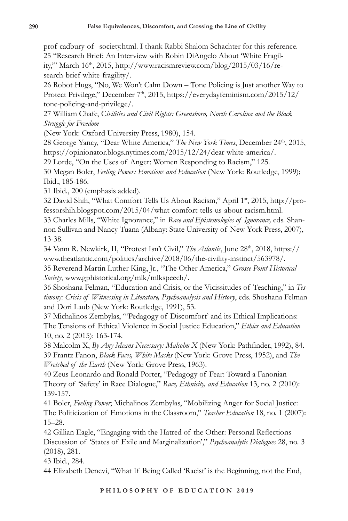prof-cadbury-of -society.html. I thank Rabbi Shalom Schachter for this reference. 25 "Research Brief: An Interview with Robin DiAngelo About 'White Fragility," March 16<sup>th</sup>, 2015, http://www.racismreview.com/blog/2015/03/16/research-brief-white-fragility/.

26 Robot Hugs, "No, We Won't Calm Down – Tone Policing is Just another Way to Protect Privilege," December 7<sup>th</sup>, 2015, https://everydayfeminism.com/2015/12/ tone-policing-and-privilege/.

27 William Chafe, C*ivilities and Civil Rights: Greensboro, North Carolina and the Black Struggle for Freedom*

(New York: Oxford University Press, 1980), 154.

28 George Yancy, "Dear White America," *The New York Times*, December 24<sup>th</sup>, 2015, https://opinionator.blogs.nytimes.com/2015/12/24/dear-white-america/.

29 Lorde, "On the Uses of Anger: Women Responding to Racism," 125.

30 Megan Boler, *Feeling Power: Emotions and Education* (New York: Routledge, 1999); Ibid., 185-186.

31 Ibid., 200 (emphasis added).

32 David Shih, "What Comfort Tells Us About Racism," April 1st, 2015, http://professorshih.blogspot.com/2015/04/what-comfort-tells-us-about-racism.html.

33 Charles Mills, "White Ignorance," in *Race and Epistemologies of Ignorance,* eds. Shannon Sullivan and Nancy Tuana (Albany: State University of New York Press, 2007), 13-38.

34 Vann R. Newkirk, II, "Protest Isn't Civil," *The Atlantic*, June 28<sup>th</sup>, 2018, https:// www.theatlantic.com/politics/archive/2018/06/the-civility-instinct/563978/.

35 Reverend Martin Luther King, Jr., "The Other America," *Grosse Point Historical Society*, www.gphistorical.org/mlk/mlkspeech/.

36 Shoshana Felman, "Education and Crisis, or the Vicissitudes of Teaching," in *Testimony: Crisis of Witnessing in Literature, Psychoanalysis and History*, eds. Shoshana Felman and Dori Laub (New York: Routledge, 1991), 53.

37 Michalinos Zembylas, "'Pedagogy of Discomfort' and its Ethical Implications: The Tensions of Ethical Violence in Social Justice Education," *Ethics and Education* 10, no. 2 (2015): 163-174.

38 Malcolm X, *By Any Means Necessary: Malcolm X* (New York: Pathfinder, 1992), 84. 39 Frantz Fanon, *Black Faces, White Masks* (New York: Grove Press, 1952), and *The Wretched of the Earth* (New York: Grove Press, 1963).

40 Zeus Leonardo and Ronald Porter, "Pedagogy of Fear: Toward a Fanonian Theory of 'Safety' in Race Dialogue," *Race, Ethnicity, and Education* 13, no. 2 (2010): 139-157.

41 Boler, *Feeling Power*; Michalinos Zembylas, "Mobilizing Anger for Social Justice: The Politicization of Emotions in the Classroom," *Teacher Education* 18, no. 1 (2007): 15–28.

42 Gillian Eagle, "Engaging with the Hatred of the Other: Personal Reflections Discussion of 'States of Exile and Marginalization'," *Psychoanalytic Dialogues* 28, no. 3 (2018), 281.

43 Ibid., 284.

44 Elizabeth Denevi, "What If Being Called 'Racist' is the Beginning, not the End,